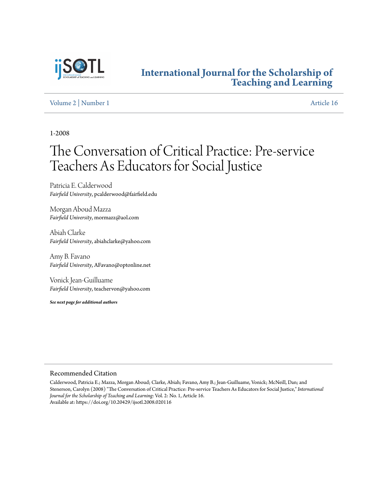

### **[International Journal for the Scholarship of](http://digitalcommons.georgiasouthern.edu/ij-sotl?utm_source=digitalcommons.georgiasouthern.edu%2Fij-sotl%2Fvol2%2Fiss1%2F16&utm_medium=PDF&utm_campaign=PDFCoverPages) [Teaching and Learning](http://digitalcommons.georgiasouthern.edu/ij-sotl?utm_source=digitalcommons.georgiasouthern.edu%2Fij-sotl%2Fvol2%2Fiss1%2F16&utm_medium=PDF&utm_campaign=PDFCoverPages)**

[Volume 2](http://digitalcommons.georgiasouthern.edu/ij-sotl/vol2?utm_source=digitalcommons.georgiasouthern.edu%2Fij-sotl%2Fvol2%2Fiss1%2F16&utm_medium=PDF&utm_campaign=PDFCoverPages) | [Number 1](http://digitalcommons.georgiasouthern.edu/ij-sotl/vol2/iss1?utm_source=digitalcommons.georgiasouthern.edu%2Fij-sotl%2Fvol2%2Fiss1%2F16&utm_medium=PDF&utm_campaign=PDFCoverPages) [Article 16](http://digitalcommons.georgiasouthern.edu/ij-sotl/vol2/iss1/16?utm_source=digitalcommons.georgiasouthern.edu%2Fij-sotl%2Fvol2%2Fiss1%2F16&utm_medium=PDF&utm_campaign=PDFCoverPages)

1-2008

# The Conversation of Critical Practice: Pre-service Teachers As Educators for Social Justice

Patricia E. Calderwood *Fairfield University*, pcalderwood@fairfield.edu

Morgan Aboud Mazza *Fairfield University*, mormazz@aol.com

Abiah Clarke *Fairfield University*, abiahclarke@yahoo.com

Amy B. Favano *Fairfield University*, AFavano@optonline.net

Vonick Jean-Guilluame *Fairfield University*, teachervon@yahoo.com

*See next page for additional authors*

#### Recommended Citation

Calderwood, Patricia E.; Mazza, Morgan Aboud; Clarke, Abiah; Favano, Amy B.; Jean-Guilluame, Vonick; McNeill, Dan; and Stenerson, Carolyn (2008) "The Conversation of Critical Practice: Pre-service Teachers As Educators for Social Justice," *International Journal for the Scholarship of Teaching and Learning*: Vol. 2: No. 1, Article 16. Available at: https://doi.org/10.20429/ijsotl.2008.020116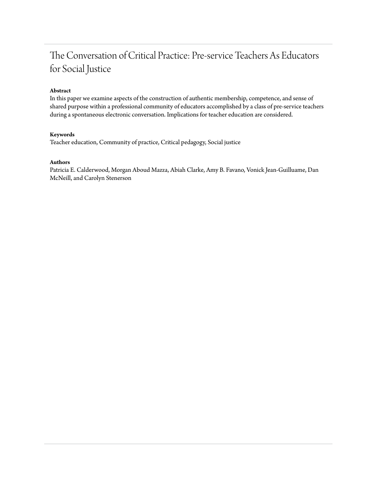## The Conversation of Critical Practice: Pre-service Teachers As Educators for Social Justice

#### **Abstract**

In this paper we examine aspects of the construction of authentic membership, competence, and sense of shared purpose within a professional community of educators accomplished by a class of pre-service teachers during a spontaneous electronic conversation. Implications for teacher education are considered.

#### **Keywords**

Teacher education, Community of practice, Critical pedagogy, Social justice

#### **Authors**

Patricia E. Calderwood, Morgan Aboud Mazza, Abiah Clarke, Amy B. Favano, Vonick Jean-Guilluame, Dan McNeill, and Carolyn Stenerson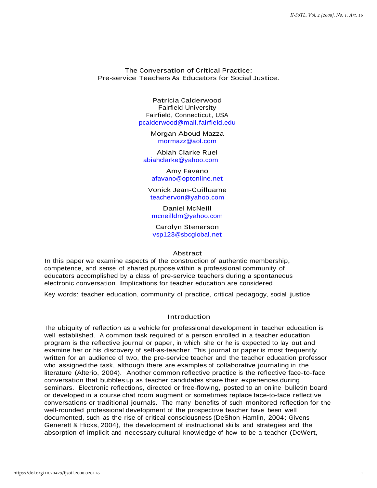The Conversation of Critical Practice: Pre-service Teachers As Educators for Social Justice.

> Patricia Calderwood Fairfield University Fairfield, Connecticut, USA [pcalderwood@mail.fairfield.edu](mailto:pcalderwood@mail.fairfield.edu)

> > Morgan Aboud Mazza [mormazz@aol.com](mailto:mormazz@aol.com)

Abiah Clarke Ruel [abiahclarke@yahoo.com](mailto:abiahclarke@yahoo.com)

> Amy Favano [afavano@optonline.net](mailto:afavano@optonline.net)

Vonick Jean-Guilluame [teachervon@yahoo.com](mailto:teachervon@yahoo.com)

Daniel McNeill [mcneilldm@yahoo.com](mailto:mcneilldm@yahoo.com)

Carolyn Stenerson [vsp123@sbcglobal.net](mailto:vsp123@sbcglobal.net)

#### Abstract

In this paper we examine aspects of the construction of authentic membership, competence, and sense of shared purpose within a professional community of educators accomplished by a class of pre-service teachers during a spontaneous electronic conversation. Implications for teacher education are considered.

Key words: teacher education, community of practice, critical pedagogy, social justice

#### **Introduction**

The ubiquity of reflection as a vehicle for professional development in teacher education is well established. A common task required of a person enrolled in a teacher education program is the reflective journal or paper, in which she or he is expected to lay out and examine her or his discovery of self-as-teacher. This journal or paper is most frequently written for an audience of two, the pre-service teacher and the teacher education professor who assigned the task, although there are examples of collaborative journaling in the literature (Alterio, 2004). Another common reflective practice is the reflective face-to-face conversation that bubbles up as teacher candidates share their experiences during seminars. Electronic reflections, directed or free-flowing, posted to an online bulletin board or developed in a course chat room augment or sometimes replace face-to-face reflective conversations or traditional journals. The many benefits of such monitored reflection for the well-rounded professional development of the prospective teacher have been well documented, such as the rise of critical consciousness (DeShon Hamlin, 2004; Givens Generett & Hicks, 2004), the development of instructional skills and strategies and the absorption of implicit and necessary cultural knowledge of how to be a teacher (DeWert,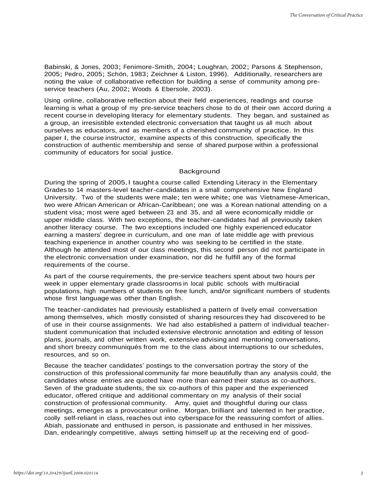Babinski, & Jones, 2003; Fenimore-Smith, 2004; Loughran, 2002; Parsons & Stephenson, 2005; Pedro, 2005; Schön, 1983; Zeichner & Liston, 1996). Additionally, researchers are noting the value of collaborative reflection for building a sense of community among preservice teachers (Au, 2002; Woods & Ebersole, 2003).

Using online, collaborative reflection about their field experiences, readings and course learning is what a group of my pre-service teachers chose to do of their own accord during a recent course in developing literacy for elementary students. They began, and sustained as a group, an irresistible extended electronic conversation that taught us all much about ourselves as educators, and as members of a cherished community of practice. In this paper I, the course instructor, examine aspects of this construction, specifically the construction of authentic membership and sense of shared purpose within a professional community of educators for social justice.

#### Background

During the spring of 2005, I taught a course called Extending Literacy in the Elementary Grades to 14 masters-level teacher-candidates in a small comprehensive New England University. Two of the students were male; ten were white; one was Vietnamese-American, two were African American or African-Caribbean; one was a Korean national attending on a student visa; most were aged between 23 and 35, and all were economically middle or upper middle class. With two exceptions, the teacher-candidates had all previously taken another literacy course. The two exceptions included one highly experienced educator earning a masters' degree in curriculum, and one man of late middle age with previous teaching experience in another country who was seeking to be certified in the state. Although he attended most of our class meetings, this second person did not participate in the electronic conversation under examination, nor did he fulfill any of the formal requirements of the course.

As part of the course requirements, the pre-service teachers spent about two hours per week in upper elementary grade classrooms in local public schools with multiracial populations, high numbers of students on free lunch, and/or significant numbers of students whose first language was other than English.

The teacher-candidates had previously established a pattern of lively email conversation among themselves, which mostly consisted of sharing resources they had discovered to be of use in their course assignments. We had also established a pattern of individual teacherstudent communication that included extensive electronic annotation and editing of lesson plans, journals, and other written work, extensive advising and mentoring conversations, and short breezy communiqués from me to the class about interruptions to our schedules, resources, and so on.

Because the teacher candidates' postings to the conversation portray the story of the construction of this professional community far more beautifully than any analysis could, the candidates whose entries are quoted have more than earned their status as co-authors. Seven of the graduate students, the six co-authors of this paper and the experienced educator, offered critique and additional commentary on my analysis of their social construction of professional community. Amy, quiet and thoughtful during our class meetings, emerges as a provocateur online. Morgan, brilliant and talented in her practice, coolly self-reliant in class, reaches out into cyberspace for the reassuring comfort of allies. Abiah, passionate and enthused in person, is passionate and enthused in her missives. Dan, endearingly competitive, always setting himself up at the receiving end of good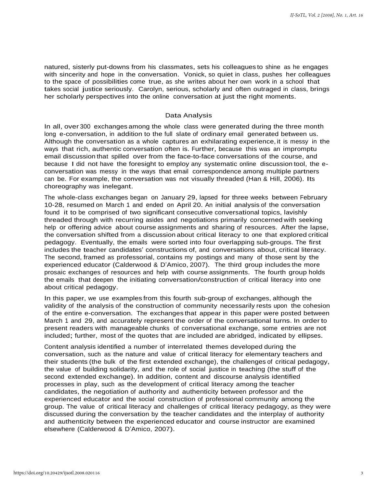natured, sisterly put-downs from his classmates, sets his colleagues to shine as he engages with sincerity and hope in the conversation. Vonick, so quiet in class, pushes her colleagues to the space of possibilities come true, as she writes about her own work in a school that takes social justice seriously. Carolyn, serious, scholarly and often outraged in class, brings her scholarly perspectives into the online conversation at just the right moments.

#### Data Analysis

In all, over 300 exchanges among the whole class were generated during the three month long e-conversation, in addition to the full slate of ordinary email generated between us. Although the conversation as a whole captures an exhilarating experience, it is messy in the ways that rich, authentic conversation often is. Further, because this was an impromptu email discussion that spilled over from the face-to-face conversations of the course, and because I did not have the foresight to employ any systematic online discussion tool, the econversation was messy in the ways that email correspondence among multiple partners can be. For example, the conversation was not visually threaded (Han & Hill, 2006). Its choreography was inelegant.

The whole-class exchanges began on January 29, lapsed for three weeks between February 10-28, resumed on March 1 and ended on April 20. An initial analysis of the conversation found it to be comprised of two significant consecutive conversational topics, lavishly threaded through with recurring asides and negotiations primarily concerned with seeking help or offering advice about course assignments and sharing of resources. After the lapse, the conversation shifted from a discussion about critical literacy to one that explored critical pedagogy. Eventually, the emails were sorted into four overlapping sub-groups. The first includes the teacher candidates' constructions of, and conversations about, critical literacy. The second, framed as professorial, contains my postings and many of those sent by the experienced educator (Calderwood & D'Amico, 2007). The third group includes the more prosaic exchanges of resources and help with course assignments. The fourth group holds the emails that deepen the initiating conversation/construction of critical literacy into one about critical pedagogy.

In this paper, we use examples from this fourth sub-group of exchanges, although the validity of the analysis of the construction of community necessarily rests upon the cohesion of the entire e-conversation. The exchanges that appear in this paper were posted between March 1 and 29, and accurately represent the order of the conversational turns. In order to present readers with manageable chunks of conversational exchange, some entries are not included; further, most of the quotes that are included are abridged, indicated by ellipses.

Content analysis identified a number of interrelated themes developed during the conversation, such as the nature and value of critical literacy for elementary teachers and their students (the bulk of the first extended exchange), the challenges of critical pedagogy, the value of building solidarity, and the role of social justice in teaching (the stuff of the second extended exchange). In addition, content and discourse analysis identified processes in play, such as the development of critical literacy among the teacher candidates, the negotiation of authority and authenticity between professor and the experienced educator and the social construction of professional community among the group. The value of critical literacy and challenges of critical literacy pedagogy, as they were discussed during the conversation by the teacher candidates and the interplay of authority and authenticity between the experienced educator and course instructor are examined elsewhere (Calderwood & D'Amico, 2007).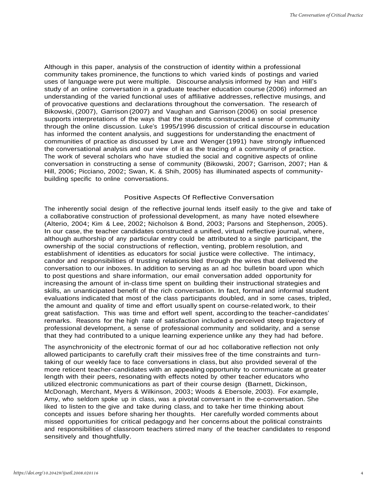Although in this paper, analysis of the construction of identity within a professional community takes prominence, the functions to which varied kinds of postings and varied uses of language were put were multiple. Discourse analysis informed by Han and Hill's study of an online conversation in a graduate teacher education course (2006) informed an understanding of the varied functional uses of affiliative addresses, reflective musings, and of provocative questions and declarations throughout the conversation. The research of Bikowski, (2007), Garrison (2007) and Vaughan and Garrison (2006) on social presence supports interpretations of the ways that the students constructed a sense of community through the online discussion. Luke's 1995/1996 discussion of critical discourse in education has informed the content analysis, and suggestions for understanding the enactment of communities of practice as discussed by Lave and Wenger (1991) have strongly influenced the conversational analysis and our view of it as the tracing of a community of practice. The work of several scholars who have studied the social and cognitive aspects of online conversation in constructing a sense of community (Bikowski, 2007; Garrison, 2007; Han & Hill, 2006; Picciano, 2002; Swan, K. & Shih, 2005) has illuminated aspects of communitybuilding specific to online conversations.

#### Positive Aspects Of Reflective Conversation

The inherently social design of the reflective journal lends itself easily to the give and take of a collaborative construction of professional development, as many have noted elsewhere (Alterio, 2004; Kim & Lee, 2002; Nicholson & Bond, 2003; Parsons and Stephenson, 2005). In our case, the teacher candidates constructed a unified, virtual reflective journal, where, although authorship of any particular entry could be attributed to a single participant, the ownership of the social constructions of reflection, venting, problem resolution, and establishment of identities as educators for social justice were collective. The intimacy, candor and responsibilities of trusting relations bled through the wires that delivered the conversation to our inboxes. In addition to serving as an ad hoc bulletin board upon which to post questions and share information, our email conversation added opportunity for increasing the amount of in-class time spent on building their instructional strategies and skills, an unanticipated benefit of the rich conversation. In fact, formal and informal student evaluations indicated that most of the class participants doubled, and in some cases, tripled, the amount and quality of time and effort usually spent on course-related work, to their great satisfaction. This was time and effort well spent, according to the teacher-candidates' remarks. Reasons for the high rate of satisfaction included a perceived steep trajectory of professional development, a sense of professional community and solidarity, and a sense that they had contributed to a unique learning experience unlike any they had had before.

The asynchronicity of the electronic format of our ad hoc collaborative reflection not only allowed participants to carefully craft their missives free of the time constraints and turntaking of our weekly face to face conversations in class, but also provided several of the more reticent teacher-candidates with an appealing opportunity to communicate at greater length with their peers, resonating with effects noted by other teacher educators who utilized electronic communications as part of their course design (Barnett, Dickinson, McDonagh, Merchant, Myers & Wilkinson, 2003; Woods & Ebersole, 2003). For example, Amy, who seldom spoke up in class, was a pivotal conversant in the e-conversation. She liked to listen to the give and take during class, and to take her time thinking about concepts and issues before sharing her thoughts. Her carefully worded comments about missed opportunities for critical pedagogy and her concerns about the political constraints and responsibilities of classroom teachers stirred many of the teacher candidates to respond sensitively and thoughtfully.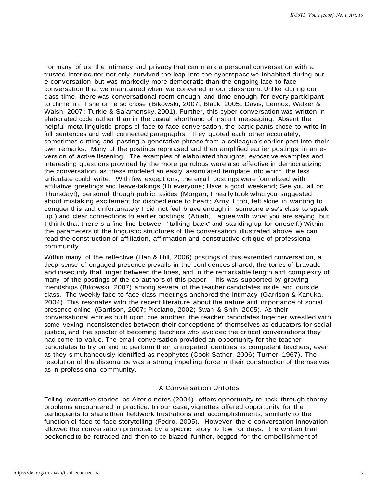For many of us, the intimacy and privacy that can mark a personal conversation with a trusted interlocutor not only survived the leap into the cyberspace we inhabited during our e-conversation, but was markedly more democratic than the ongoing face to face conversation that we maintained when we convened in our classroom. Unlike during our class time, there was conversational room enough, and time enough, for every participant to chime in, if she or he so chose (Bikowski, 2007; Black, 2005; Davis, Lennox, Walker & Walsh, 2007; Turkle & Salamensky,2001). Further, this cyber-conversation was written in elaborated code rather than in the casual shorthand of instant messaging. Absent the helpful meta-linguistic props of face-to-face conversation, the participants chose to write in full sentences and well connected paragraphs. They quoted each other accurately, sometimes cutting and pasting a generative phrase from a colleague's earlier post into their own remarks. Many of the postings rephrased and then amplified earlier postings, in an eversion of active listening. The examples of elaborated thoughts, evocative examples and interesting questions provided by the more garrulous were also effective in democratizing the conversation, as these modeled an easily assimilated template into which the less articulate could write. With few exceptions, the email postings were formalized with affiliative greetings and leave-takings (Hi everyone; Have a good weekend; See you all on Thursday!), personal, though public, asides (Morgan, I really took what you suggested about mistaking excitement for disobedience to heart; Amy, I too, felt alone in wanting to conquer this and unfortunately I did not feel brave enough in someone else's class to speak up.) and clear connections to earlier postings (Abiah, I agree with what you are saying, but I think that there is a fine line between "talking back" and standing up for oneself.) Within the parameters of the linguistic structures of the conversation, illustrated above, we can read the construction of affiliation, affirmation and constructive critique of professional community.

Within many of the reflective (Han & Hill, 2006) postings of this extended conversation, a deep sense of engaged presence prevails in the confidences shared, the tones of bravado and insecurity that linger between the lines, and in the remarkable length and complexity of many of the postings of the co-authors of this paper. This was supported by growing friendships (Bikowski, 2007) among several of the teacher candidates inside and outside class. The weekly face-to-face class meetings anchored the intimacy (Garrison & Kanuka, 2004). This resonates with the recent literature about the nature and importance of social presence online (Garrison, 2007; Picciano, 2002; Swan & Shih, 2005). As their conversational entries built upon one another, the teacher candidates together wrestled with some vexing inconsistencies between their conceptions of themselves as educators for social justice, and the specter of becoming teachers who avoided the critical conversations they had come to value. The email conversation provided an opportunity for the teacher candidates to try on and to perform their anticipated identities as competent teachers, even as they simultaneously identified as neophytes (Cook-Sather, 2006; Turner, 1967). The resolution of the dissonance was a strong impelling force in their construction of themselves as in professional community.

#### A Conversation Unfolds

Telling evocative stories, as Alterio notes (2004), offers opportunity to hack through thorny problems encountered in practice. In our case, vignettes offered opportunity for the participants to share their fieldwork frustrations and accomplishments, similarly to the function of face-to-face storytelling (Pedro, 2005). However, the e-conversation innovation allowed the conversation prompted by a specific story to flow for days. The written trail beckoned to be retraced and then to be blazed further, begged for the embellishment of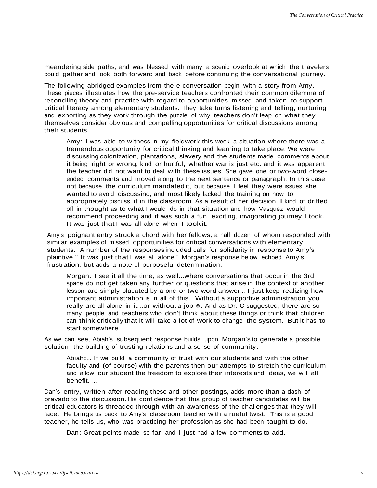meandering side paths, and was blessed with many a scenic overlook at which the travelers could gather and look both forward and back before continuing the conversational journey.

The following abridged examples from the e-conversation begin with a story from Amy. These pieces illustrates how the pre-service teachers confronted their common dilemma of reconciling theory and practice with regard to opportunities, missed and taken, to support critical literacy among elementary students. They take turns listening and telling, nurturing and exhorting as they work through the puzzle of why teachers don't leap on what they themselves consider obvious and compelling opportunities for critical discussions among their students.

Amy: I was able to witness in my fieldwork this week a situation where there was a tremendous opportunity for critical thinking and learning to take place. We were discussing colonization, plantations, slavery and the students made comments about it being right or wrong, kind or hurtful, whether war is just etc. and it was apparent the teacher did not want to deal with these issues. She gave one or two-word closeended comments and moved along to the next sentence or paragraph. In this case not because the curriculum mandated it, but because I feel they were issues she wanted to avoid discussing, and most likely lacked the training on how to appropriately discuss it in the classroom. As a result of her decision, I kind of drifted off in thought as to what I would do in that situation and how Vasquez would recommend proceeding and it was such a fun, exciting, invigorating journey I took. It was just that I was all alone when I took it.

Amy's poignant entry struck a chord with her fellows, a half dozen of whom responded with similar examples of missed opportunities for critical conversations with elementary students. A number of the responses included calls for solidarity in response to Amy's plaintive " It was just that I was all alone." Morgan's response below echoed Amy's frustration, but adds a note of purposeful determination.

Morgan: I see it all the time, as well...where conversations that occur in the 3rd space do not get taken any further or questions that arise in the context of another lesson are simply placated by a one or two word answer… I just keep realizing how important administration is in all of this. Without a supportive administration you really are all alone in it...or without a job ☺. And as Dr. C suggested, there are so many people and teachers who don't think about these things or think that children can think critically that it will take a lot of work to change the system. But it has to start somewhere.

As we can see, Abiah's subsequent response builds upon Morgan's to generate a possible solution- the building of trusting relations and a sense of community:

Abiah:… If we build a community of trust with our students and with the other faculty and (of course) with the parents then our attempts to stretch the curriculum and allow our student the freedom to explore their interests and ideas, we will all benefit. …

Dan's entry, written after reading these and other postings, adds more than a dash of bravado to the discussion. His confidence that this group of teacher candidates will be critical educators is threaded through with an awareness of the challenges that they will face. He brings us back to Amy's classroom teacher with a rueful twist. This is a good teacher, he tells us, who was practicing her profession as she had been taught to do.

Dan: Great points made so far, and I just had a few comments to add.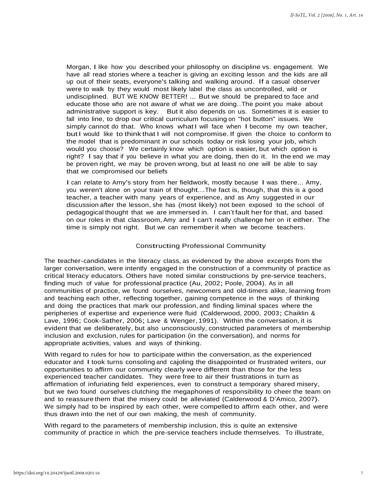Morgan, I like how you described your philosophy on discipline vs. engagement. We have all read stories where a teacher is giving an exciting lesson and the kids are all up out of their seats, everyone's talking and walking around. If a casual observer were to walk by they would most likely label the class as uncontrolled, wild or undisciplined. BUT WE KNOW BETTER! ... But we should be prepared to face and educate those who are not aware of what we are doing…The point you make about administrative support is key. But it also depends on us. Sometimes it is easier to fall into line, to drop our critical curriculum focusing on "hot button" issues. We simply cannot do that. Who knows what I will face when I become my own teacher, but I would like to think that I will not compromise. If given the choice to conform to the model that is predominant in our schools today or risk losing your job, which would you choose? We certainly know which option is easier, but which option is right? I say that if you believe in what you are doing, then do it. In the end we may be proven right, we may be proven wrong, but at least no one will be able to say that we compromised our beliefs

I can relate to Amy's story from her fieldwork, mostly because I was there... Amy, you weren't alone on your train of thought….The fact is, though, that this is a good teacher, a teacher with many years of experience, and as Amy suggested in our discussion after the lesson, she has (most likely) not been exposed to the school of pedagogical thought that we are immersed in. I can't fault her for that, and based on our roles in that classroom, Amy and I can't really challenge her on it either. The time is simply not right. But we can remember it when we become teachers.

#### Constructing Professional Community

The teacher-candidates in the literacy class, as evidenced by the above excerpts from the larger conversation, were intently engaged in the construction of a community of practice as critical literacy educators. Others have noted similar constructions by pre-service teachers, finding much of value for professional practice (Au, 2002; Poole, 2004). As in all communities of practice, we found ourselves, newcomers and old-timers alike, learning from and teaching each other, reflecting together, gaining competence in the ways of thinking and doing the practices that mark our profession, and finding liminal spaces where the peripheries of expertise and experience were fluid (Calderwood, 2000, 2003; Chaiklin & Lave, 1996; Cook-Sather, 2006; Lave & Wenger, 1991). Within the conversation, it is evident that we deliberately, but also unconsciously, constructed parameters of membership inclusion and exclusion, rules for participation (in the conversation), and norms for appropriate activities, values and ways of thinking.

With regard to rules for how to participate within the conversation, as the experienced educator and I took turns consoling and cajoling the disappointed or frustrated writers, our opportunities to affirm our community clearly were different than those for the less experienced teacher candidates. They were free to air their frustrations in turn as affirmation of infuriating field experiences, even to construct a temporary shared misery, but we two found ourselves clutching the megaphones of responsibility to cheer the team on and to reassure them that the misery could be alleviated (Calderwood & D'Amico, 2007). We simply had to be inspired by each other, were compelled to affirm each other, and were thus drawn into the net of our own making, the mesh of community.

With regard to the parameters of membership inclusion, this is quite an extensive community of practice in which the pre-service teachers include themselves. To illustrate,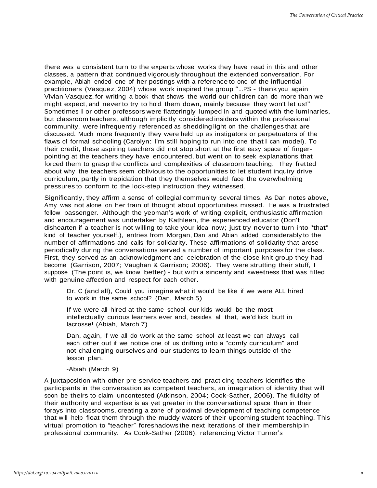there was a consistent turn to the experts whose works they have read in this and other classes, a pattern that continued vigorously throughout the extended conversation. For example, Abiah ended one of her postings with a reference to one of the influential practitioners (Vasquez, 2004) whose work inspired the group "…PS - thank you again Vivian Vasquez, for writing a book that shows the world our children can do more than we might expect, and never to try to hold them down, mainly because they won't let us!" Sometimes I or other professors were flatteringly lumped in and quoted with the luminaries, but classroom teachers, although implicitly considered insiders within the professional community, were infrequently referenced as shedding light on the challenges that are discussed. Much more frequently they were held up as instigators or perpetuators of the flaws of formal schooling (Carolyn: I'm still hoping to run into one that I can model). To their credit, these aspiring teachers did not stop short at the first easy space of fingerpointing at the teachers they have encountered, but went on to seek explanations that forced them to grasp the conflicts and complexities of classroom teaching. They fretted about why the teachers seem oblivious to the opportunities to let student inquiry drive curriculum, partly in trepidation that they themselves would face the overwhelming pressures to conform to the lock-step instruction they witnessed.

Significantly, they affirm a sense of collegial community several times. As Dan notes above, Amy was not alone on her train of thought about opportunities missed. He was a frustrated fellow passenger. Although the yeoman's work of writing explicit, enthusiastic affirmation and encouragement was undertaken by Kathleen, the experienced educator (Don't dishearten if a teacher is not willing to take your idea now; just try never to turn into "that" kind of teacher yourself.), entries from Morgan, Dan and Abiah added considerably to the number of affirmations and calls for solidarity. These affirmations of solidarity that arose periodically during the conversations served a number of important purposes for the class. First, they served as an acknowledgment and celebration of the close-knit group they had become (Garrison, 2007; Vaughan & Garrison; 2006). They were strutting their stuff, I suppose (The point is, we know better) - but with a sincerity and sweetness that was filled with genuine affection and respect for each other.

Dr. C (and all), Could you imagine what it would be like if we were ALL hired to work in the same school? (Dan, March 5)

If we were all hired at the same school our kids would be the most intellectually curious learners ever and, besides all that, we'd kick butt in lacrosse! (Abiah, March 7)

Dan, again, if we all do work at the same school at least we can always call each other out if we notice one of us drifting into a "comfy curriculum" and not challenging ourselves and our students to learn things outside of the lesson plan.

#### -Abiah (March 9)

A juxtaposition with other pre-service teachers and practicing teachers identifies the participants in the conversation as competent teachers, an imagination of identity that will soon be theirs to claim uncontested (Atkinson, 2004; Cook-Sather, 2006). The fluidity of their authority and expertise is as yet greater in the conversational space than in their forays into classrooms, creating a zone of proximal development of teaching competence that will help float them through the muddy waters of their upcoming student teaching. This virtual promotion to "teacher" foreshadows the next iterations of their membership in professional community. As Cook-Sather (2006), referencing Victor Turner's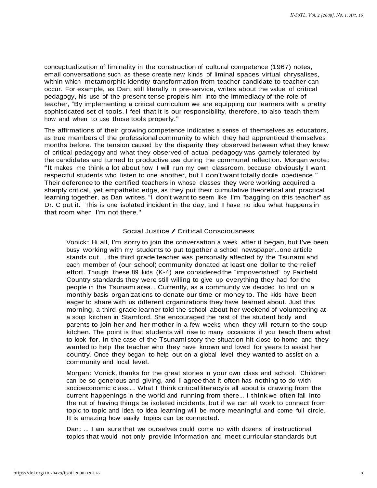conceptualization of liminality in the construction of cultural competence (1967) notes, email conversations such as these create new kinds of liminal spaces, virtual chrysalises, within which metamorphic identity transformation from teacher candidate to teacher can occur. For example, as Dan, still literally in pre-service, writes about the value of critical pedagogy, his use of the present tense propels him into the immediacy of the role of teacher, "By implementing a critical curriculum we are equipping our learners with a pretty sophisticated set of tools. I feel that it is our responsibility, therefore, to also teach them how and when to use those tools properly."

The affirmations of their growing competence indicates a sense of themselves as educators, as true members of the professional community to which they had apprenticed themselves months before. The tension caused by the disparity they observed between what they knew of critical pedagogy and what they observed of actual pedagogy was gamely tolerated by the candidates and turned to productive use during the communal reflection. Morgan wrote: "It makes me think a lot about how I will run my own classroom, because obviously I want respectful students who listen to one another, but I don't want totally docile obedience." Their deference to the certified teachers in whose classes they were working acquired a sharply critical, yet empathetic edge, as they put their cumulative theoretical and practical learning together, as Dan writes, "I don't want to seem like I'm "bagging on this teacher" as Dr. C put it. This is one isolated incident in the day, and I have no idea what happens in that room when I'm not there."

#### Social Justice / Critical Consciousness

Vonick: Hi all, I'm sorry to join the conversation a week after it began, but I've been busy working with my students to put together a school newspaper…one article stands out. …the third grade teacher was personally affected by the Tsunami and each member of (our school) community donated at least one dollar to the relief effort. Though these 89 kids (K-4) are considered the "impoverished" by Fairfield Country standards they were still willing to give up everything they had for the people in the Tsunami area… Currently, as a community we decided to find on a monthly basis organizations to donate our time or money to. The kids have been eager to share with us different organizations they have learned about. Just this morning, a third grade learner told the school about her weekend of volunteering at a soup kitchen in Stamford. She encouraged the rest of the student body and parents to join her and her mother in a few weeks when they will return to the soup kitchen. The point is that students will rise to many occasions if you teach them what to look for. In the case of the Tsunami story the situation hit close to home and they wanted to help the teacher who they have known and loved for years to assist her country. Once they began to help out on a global level they wanted to assist on a community and local level.

Morgan: Vonick, thanks for the great stories in your own class and school. Children can be so generous and giving, and I agree that it often has nothing to do with socioeconomic class…. What I think critical literacy is all about is drawing from the current happenings in the world and running from there… I think we often fall into the rut of having things be isolated incidents, but if we can all work to connect from topic to topic and idea to idea learning will be more meaningful and come full circle. It is amazing how easily topics can be connected.

Dan: … I am sure that we ourselves could come up with dozens of instructional topics that would not only provide information and meet curricular standards but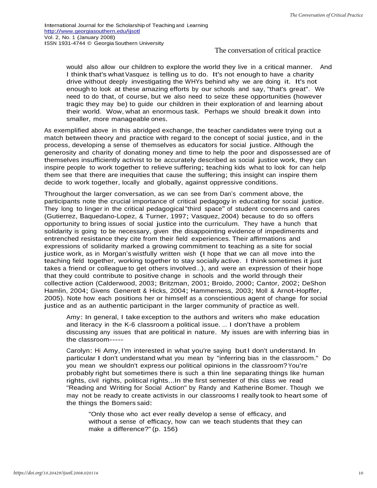would also allow our children to explore the world they live in a critical manner. And I think that's what Vasquez is telling us to do. It's not enough to have a charity drive without deeply investigating the WHYs behind why we are doing it. It's not enough to look at these amazing efforts by our schools and say, "that's great". We need to do that, of course, but we also need to seize these opportunities (however tragic they may be) to guide our children in their exploration of and learning about their world. Wow, what an enormous task. Perhaps we should break it down into smaller, more manageable ones.

As exemplified above in this abridged exchange, the teacher candidates were trying out a match between theory and practice with regard to the concept of social justice, and in the process, developing a sense of themselves as educators for social justice. Although the generosity and charity of donating money and time to help the poor and dispossessed are of themselves insufficiently activist to be accurately described as social justice work, they can inspire people to work together to relieve suffering; teaching kids what to look for can help them see that there are inequities that cause the suffering; this insight can inspire them decide to work together, locally and globally, against oppressive conditions.

Throughout the larger conversation, as we can see from Dan's comment above, the participants note the crucial importance of critical pedagogy in educating for social justice. They long to linger in the critical pedagogical "third space" of student concerns and cares (Gutierrez, Baquedano-Lopez, & Turner, 1997; Vasquez, 2004) because to do so offers opportunity to bring issues of social justice into the curriculum. They have a hunch that solidarity is going to be necessary, given the disappointing evidence of impediments and entrenched resistance they cite from their field experiences. Their affirmations and expressions of solidarity marked a growing commitment to teaching as a site for social justice work, as in Morgan's wistfully written wish (I hope that we can all move into the teaching field together, working together to stay socially active. I think sometimes it just takes a friend or colleague to get others involved…), and were an expression of their hope that they could contribute to positive change in schools and the world through their collective action (Calderwood, 2003; Britzman, 2001; Broido, 2000; Cantor, 2002; DeShon Hamlin, 2004; Givens Generett & Hicks, 2004; Hammerness, 2003; Moll & Arnot-Hopffer, 2005). Note how each positions her or himself as a conscientious agent of change for social justice and as an authentic participant in the larger community of practice as well.

Amy: In general, I take exception to the authors and writers who make education and literacy in the K-6 classroom a political issue. … I don't have a problem discussing any issues that are political in nature. My issues are with inferring bias in the classroom-----

Carolyn: Hi Amy, I'm interested in what you're saying but I don't understand. In particular I don't understand what you mean by "inferring bias in the classroom." Do you mean we shouldn't express our political opinions in the classroom? You're probably right but sometimes there is such a thin line separating things like human rights, civil rights, political rights...In the first semester of this class we read "Reading and Writing for Social Action" by Randy and Katherine Bomer. Though we may not be ready to create activists in our classrooms I really took to heart some of the things the Bomers said:

"Only those who act ever really develop a sense of efficacy, and without a sense of efficacy, how can we teach students that they can make a difference?" (p. 156)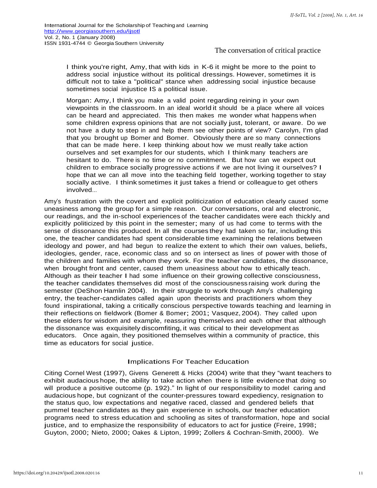I think you're right, Amy, that with kids in K-6 it might be more to the point to address social injustice without its political dressings. However, sometimes it is difficult not to take a "political" stance when addressing social injustice because sometimes social injustice IS a political issue.

Morgan: Amy, I think you make a valid point regarding reining in your own viewpoints in the classroom. In an ideal world it should be a place where all voices can be heard and appreciated. This then makes me wonder what happens when some children express opinions that are not socially just, tolerant, or aware. Do we not have a duty to step in and help them see other points of view? Carolyn, I'm glad that you brought up Bomer and Bomer. Obviously there are so many connections that can be made here. I keep thinking about how we must really take action ourselves and set examples for our students, which I think many teachers are hesitant to do. There is no time or no commitment. But how can we expect out children to embrace socially progressive actions if we are not living it ourselves? I hope that we can all move into the teaching field together, working together to stay socially active. I think sometimes it just takes a friend or colleague to get others involved…

Amy's frustration with the covert and explicit politicization of education clearly caused some uneasiness among the group for a simple reason. Our conversations, oral and electronic, our readings, and the in-school experiences of the teacher candidates were each thickly and explicitly politicized by this point in the semester; many of us had come to terms with the sense of dissonance this produced. In all the courses they had taken so far, including this one, the teacher candidates had spent considerable time examining the relations between ideology and power, and had begun to realize the extent to which their own values, beliefs, ideologies, gender, race, economic class and so on intersect as lines of power with those of the children and families with whom they work. For the teacher candidates, the dissonance, when brought front and center, caused them uneasiness about how to ethically teach. Although as their teacher I had some influence on their growing collective consciousness, the teacher candidates themselves did most of the consciousness raising work during the semester (DeShon Hamlin 2004). In their struggle to work through Amy's challenging entry, the teacher-candidates called again upon theorists and practitioners whom they found inspirational, taking a critically conscious perspective towards teaching and learning in their reflections on fieldwork (Bomer & Bomer; 2001; Vasquez, 2004). They called upon these elders for wisdom and example, reassuring themselves and each other that although the dissonance was exquisitely discomfiting, it was critical to their development as educators. Once again, they positioned themselves within a community of practice, this time as educators for social justice.

#### Implications For Teacher Education

Citing Cornel West (1997), Givens Generett & Hicks (2004) write that they "want teachers to exhibit audacious hope, the ability to take action when there is little evidence that doing so will produce a positive outcome (p. 192)." In light of our responsibility to model caring and audacious hope, but cognizant of the counter-pressures toward expediency, resignation to the status quo, low expectations and negative raced, classed and gendered beliefs that pummel teacher candidates as they gain experience in schools, our teacher education programs need to stress education and schooling as sites of transformation, hope and social justice, and to emphasize the responsibility of educators to act for justice (Freire, 1998; Guyton, 2000; Nieto, 2000; Oakes & Lipton, 1999; Zollers & Cochran-Smith, 2000). We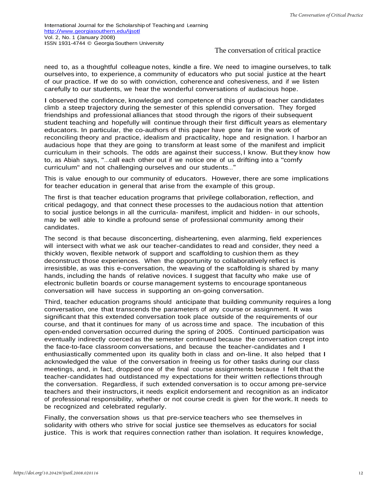need to, as a thoughtful colleague notes, kindle a fire. We need to imagine ourselves, to talk ourselves into, to experience, a community of educators who put social justice at the heart of our practice. If we do so with conviction, coherence and cohesiveness, and if we listen carefully to our students, we hear the wonderful conversations of audacious hope.

I observed the confidence, knowledge and competence of this group of teacher candidates climb a steep trajectory during the semester of this splendid conversation. They forged friendships and professional alliances that stood through the rigors of their subsequent student teaching and hopefully will continue through their first difficult years as elementary educators. In particular, the co-authors of this paper have gone far in the work of reconciling theory and practice, idealism and practicality, hope and resignation. I harbor an audacious hope that they are going to transform at least some of the manifest and implicit curriculum in their schools. The odds are against their success, I know. But they know how to, as Abiah says, "…call each other out if we notice one of us drifting into a "comfy curriculum" and not challenging ourselves and our students…"

This is value enough to our community of educators. However, there are some implications for teacher education in general that arise from the example of this group.

The first is that teacher education programs that privilege collaboration, reflection, and critical pedagogy, and that connect these processes to the audacious notion that attention to social justice belongs in all the curricula- manifest, implicit and hidden- in our schools, may be well able to kindle a profound sense of professional community among their candidates.

The second is that because disconcerting, disheartening, even alarming, field experiences will intersect with what we ask our teacher-candidates to read and consider, they need a thickly woven, flexible network of support and scaffolding to cushion them as they deconstruct those experiences. When the opportunity to collaboratively reflect is irresistible, as was this e-conversation, the weaving of the scaffolding is shared by many hands, including the hands of relative novices. I suggest that faculty who make use of electronic bulletin boards or course management systems to encourage spontaneous conversation will have success in supporting an on-going conversation.

Third, teacher education programs should anticipate that building community requires a long conversation, one that transcends the parameters of any course or assignment. It was significant that this extended conversation took place outside of the requirements of our course, and that it continues for many of us across time and space. The incubation of this open-ended conversation occurred during the spring of 2005. Continued participation was eventually indirectly coerced as the semester continued because the conversation crept into the face-to-face classroom conversations, and because the teacher-candidates and I enthusiastically commented upon its quality both in class and on-line. It also helped that I acknowledged the value of the conversation in freeing us for other tasks during our class meetings, and, in fact, dropped one of the final course assignments because I felt that the teacher-candidates had outdistanced my expectations for their written reflections through the conversation. Regardless, if such extended conversation is to occur among pre-service teachers and their instructors, it needs explicit endorsement and recognition as an indicator of professional responsibility, whether or not course credit is given for the work. It needs to be recognized and celebrated regularly.

Finally, the conversation shows us that pre-service teachers who see themselves in solidarity with others who strive for social justice see themselves as educators for social justice. This is work that requires connection rather than isolation. It requires knowledge,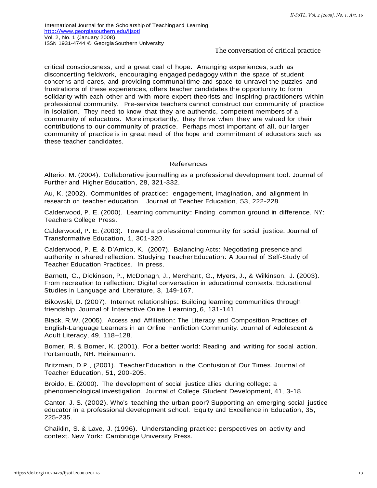critical consciousness, and a great deal of hope. Arranging experiences, such as disconcerting fieldwork, encouraging engaged pedagogy within the space of student concerns and cares, and providing communal time and space to unravel the puzzles and frustrations of these experiences, offers teacher candidates the opportunity to form solidarity with each other and with more expert theorists and inspiring practitioners within professional community. Pre-service teachers cannot construct our community of practice in isolation. They need to know that they are authentic, competent members of a community of educators. More importantly, they thrive when they are valued for their contributions to our community of practice. Perhaps most important of all, our larger community of practice is in great need of the hope and commitment of educators such as these teacher candidates.

#### References

Alterio, M. (2004). Collaborative journalling as a professional development tool. Journal of Further and Higher Education, 28, 321-332.

Au, K. (2002). Communities of practice: engagement, imagination, and alignment in research on teacher education. Journal of Teacher Education, 53, 222-228.

Calderwood, P. E. (2000). Learning community: Finding common ground in difference. NY: Teachers College Press.

Calderwood, P. E. (2003). Toward a professional community for social justice. Journal of Transformative Education, 1, 301-320.

Calderwood, P. E. & D'Amico, K. (2007). Balancing Acts: Negotiating presence and authority in shared reflection. Studying Teacher Education: A Journal of Self-Study of Teacher Education Practices. In press.

Barnett, C., Dickinson, P., McDonagh, J., Merchant, G., Myers, J., & Wilkinson, J. (2003). From recreation to reflection: Digital conversation in educational contexts. Educational Studies in Language and Literature, 3, 149-167.

Bikowski, D. (2007). Internet relationships: Building learning communities through friendship. Journal of Interactive Online Learning, 6, 131-141.

Black, R.W. (2005). Access and Affiliation: The Literacy and Composition Practices of English-Language Learners in an Online Fanfiction Community. Journal of Adolescent & Adult Literacy, 49, 118–128.

Bomer, R. & Bomer, K. (2001). For a better world: Reading and writing for social action. Portsmouth, NH: Heinemann.

Britzman, D.P., (2001). Teacher Education in the Confusion of Our Times. Journal of Teacher Education, 51, 200-205.

Broido, E. (2000). The development of social justice allies during college: <sup>a</sup> phenomenological investigation. Journal of College Student Development, 41, 3-18.

Cantor, J. S. (2002). Who's teaching the urban poor? Supporting an emerging social justice educator in a professional development school. Equity and Excellence in Education, 35, 225-235.

Chaiklin, S. & Lave, J. (1996). Understanding practice: perspectives on activity and context. New York: Cambridge University Press.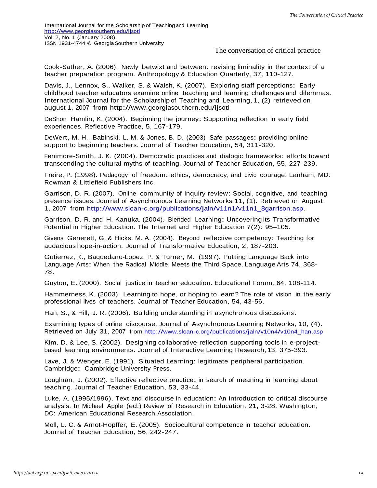Cook-Sather, A. (2006). Newly betwixt and between: revising liminality in the context of a teacher preparation program. Anthropology & Education Quarterly, 37, 110-127.

Davis, J., Lennox, S., Walker, S. & Walsh, K. (2007). Exploring staff perceptions: Early childhood teacher educators examine online teaching and learning challenges and dilemmas. International Journal for the Scholarship of Teaching and Learning, 1, (2) retrieved on august 1, 2007 from<http://www.georgiasouthern.edu/ijsotl>

DeShon Hamlin, K. (2004). Beginning the journey: Supporting reflection in early field experiences. Reflective Practice, 5, 167-179.

DeWert, M. H., Babinski, L. M. & Jones, B. D. (2003) Safe passages: providing online support to beginning teachers. Journal of Teacher Education, 54, 311-320.

Fenimore-Smith, J. K. (2004). Democratic practices and dialogic frameworks: efforts toward transcending the cultural myths of teaching. Journal of Teacher Education, 55, 227-239.

Freire, P. (1998). Pedagogy of freedom: ethics, democracy, and civic courage. Lanham, MD: Rowman & Littlefield Publishers Inc.

Garrison, D. R. (2007). Online community of inquiry review: Social, cognitive, and teaching presence issues. Journal of Asynchronous Learning Networks 11, (1). Retrieved on August 1, 2007 from [http://www.sloan-c.org/publications/jaln/v11n1/v11n1\\_8garrison.asp.](http://www.sloan-c.org/publications/jaln/v11n1/v11n1_8garrison.asp)

Garrison, D. R. and H. Kanuka. (2004). Blended Learning: Uncovering its Transformative Potential in Higher Education. The Internet and Higher Education 7(2): 95–105.

Givens Generett, G. & Hicks, M. A. (2004). Beyond reflective competency: Teaching for audacious hope-in-action. Journal of Transformative Education, 2, 187-203.

Gutierrez, K., Baquedano-Lopez, P. & Turner, M. (1997). Putting Language Back into Language Arts: When the Radical Middle Meets the Third Space. Language Arts 74, 368- 78.

Guyton, E. (2000). Social justice in teacher education. Educational Forum, 64, 108-114.

Hammerness, K. (2003). Learning to hope, or hoping to learn? The role of vision in the early professional lives of teachers. Journal of Teacher Education, 54, 43-56.

Han, S., & Hill, J. R. (2006). Building understanding in asynchronous discussions:

Examining types of online discourse. Journal of Asynchronous Learning Networks, 10, (4). Retrieved on July 31, 2007 from [http://www.sloan-c.org/publications/jaln/v10n4/v10n4\\_han.asp](http://www.sloan-c.org/publications/jaln/v10n4/v10n4_han.asp)

Kim, D. & Lee, S. (2002). Designing collaborative reflection supporting tools in e-projectbased learning environments. Journal of Interactive Learning Research, 13, 375-393.

Lave, J. & Wenger, E. (1991). Situated Learning: legitimate peripheral participation. Cambridge: Cambridge University Press.

Loughran, J. (2002). Effective reflective practice: in search of meaning in learning about teaching. Journal of Teacher Education, 53, 33-44.

Luke, A. (1995/1996). Text and discourse in education: An introduction to critical discourse analysis. In Michael Apple (ed.) Review of Research in Education, 21, 3-28. Washington, DC: American Educational Research Association.

Moll, L. C. & Arnot-Hopffer, E. (2005). Sociocultural competence in teacher education. Journal of Teacher Education, 56, 242-247.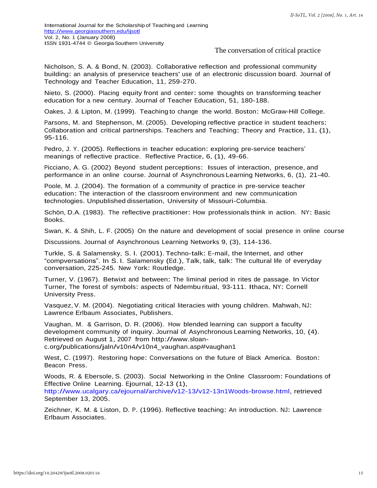Nicholson, S. A. & Bond, N. (2003). Collaborative reflection and professional community building: an analysis of preservice teachers' use of an electronic discussion board. Journal of Technology and Teacher Education, 11, 259-270.

Nieto, S. (2000). Placing equity front and center: some thoughts on transforming teacher education for a new century. Journal of Teacher Education, 51, 180-188.

Oakes, J. & Lipton, M. (1999). Teaching to change the world. Boston: McGraw-Hill College.

Parsons, M. and Stephenson, M. (2005). Developing reflective practice in student teachers: Collaboration and critical partnerships. Teachers and Teaching: Theory and Practice, 11, (1), 95-116.

Pedro, J. Y. (2005). Reflections in teacher education: exploring pre-service teachers' meanings of reflective practice. Reflective Practice, 6, (1), 49-66.

Picciano, A. G. (2002) Beyond student perceptions: Issues of interaction, presence, and performance in an online course. Journal of Asynchronous Learning Networks, 6, (1), 21-40.

Poole, M. J. (2004). The formation of a community of practice in pre-service teacher education: The interaction of the classroom environment and new communication technologies. Unpublished dissertation, University of Missouri-Columbia.

Schön, D.A. (1983). The reflective practitioner: How professionals think in action. NY: Basic Books.

Swan, K. & Shih, L. F. (2005) On the nature and development of social presence in online course

Discussions. Journal of Asynchronous Learning Networks 9, (3), 114-136.

Turkle, S. & Salamensky, S. I. (2001). Techno-talk: E-mail, the Internet, and other "compversations". In S. I. Salamensky (Ed.), Talk, talk, talk: The cultural life of everyday conversation, 225-245. New York: Routledge.

Turner, V. (1967). Betwixt and between: The liminal period in rites de passage. In Victor Turner, The forest of symbols: aspects of Ndembu ritual, 93-111. Ithaca, NY: Cornell University Press.

Vasquez, V. M. (2004). Negotiating critical literacies with young children. Mahwah, NJ: Lawrence Erlbaum Associates, Publishers.

Vaughan, M. & Garrison, D. R. (2006). How blended learning can support a faculty development community of inquiry. Journal of Asynchronous Learning Networks, 10, (4). Retrieved on August 1, 2007 from http://www.sloanc.org/publications/jaln/v10n4/v10n4\_vaughan.asp#vaughan1

West, C. (1997). Restoring hope: Conversations on the future of Black America. Boston: Beacon Press.

Woods, R. & Ebersole, S. (2003). Social Networking in the Online Classroom: Foundations of Effective Online Learning. Ejournal, 12-13 (1),

[http://www.ucalgary.ca/ejournal/archive/v12-13/v12-13n1Woods-browse.html,](http://www.ucalgary.ca/ejournal/archive/v12-13/v12-13n1Woods-browse.html) retrieved September 13, 2005.

Zeichner, K. M. & Liston, D. P. (1996). Reflective teaching: An introduction. NJ: Lawrence Erlbaum Associates.